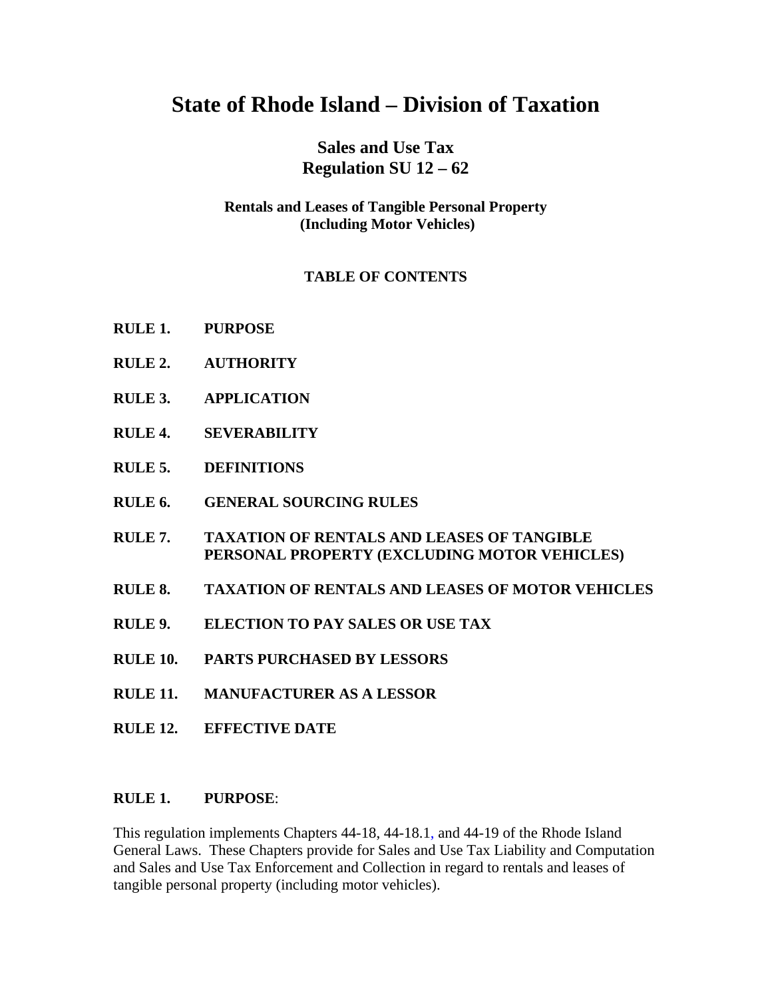# **State of Rhode Island – Division of Taxation**

## **Sales and Use Tax Regulation SU 12 – 62**

## **Rentals and Leases of Tangible Personal Property (Including Motor Vehicles)**

## **TABLE OF CONTENTS**

- **RULE 1. PURPOSE**
- **RULE 2. AUTHORITY**
- **RULE 3. APPLICATION**
- **RULE 4. SEVERABILITY**
- **RULE 5. DEFINITIONS**
- **RULE 6. GENERAL SOURCING RULES**
- **RULE 7. TAXATION OF RENTALS AND LEASES OF TANGIBLE PERSONAL PROPERTY (EXCLUDING MOTOR VEHICLES)**
- **RULE 8. TAXATION OF RENTALS AND LEASES OF MOTOR VEHICLES**
- **RULE 9. ELECTION TO PAY SALES OR USE TAX**
- **RULE 10. PARTS PURCHASED BY LESSORS**
- **RULE 11. MANUFACTURER AS A LESSOR**
- **RULE 12. EFFECTIVE DATE**

#### **RULE 1. PURPOSE**:

This regulation implements Chapters 44-18, 44-18.1, and 44-19 of the Rhode Island General Laws. These Chapters provide for Sales and Use Tax Liability and Computation and Sales and Use Tax Enforcement and Collection in regard to rentals and leases of tangible personal property (including motor vehicles).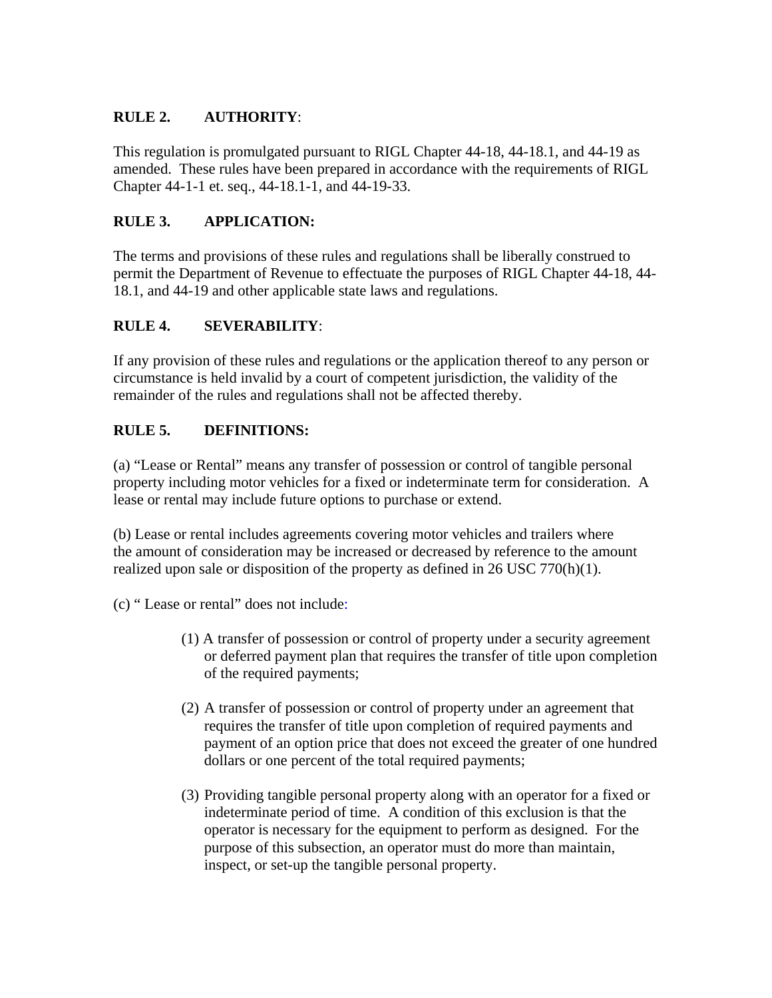## **RULE 2. AUTHORITY**:

This regulation is promulgated pursuant to RIGL Chapter 44-18, 44-18.1, and 44-19 as amended. These rules have been prepared in accordance with the requirements of RIGL Chapter 44-1-1 et. seq., 44-18.1-1, and 44-19-33.

## **RULE 3. APPLICATION:**

The terms and provisions of these rules and regulations shall be liberally construed to permit the Department of Revenue to effectuate the purposes of RIGL Chapter 44-18, 44- 18.1, and 44-19 and other applicable state laws and regulations.

## **RULE 4. SEVERABILITY**:

If any provision of these rules and regulations or the application thereof to any person or circumstance is held invalid by a court of competent jurisdiction, the validity of the remainder of the rules and regulations shall not be affected thereby.

## **RULE 5. DEFINITIONS:**

(a) "Lease or Rental" means any transfer of possession or control of tangible personal property including motor vehicles for a fixed or indeterminate term for consideration. A lease or rental may include future options to purchase or extend.

(b) Lease or rental includes agreements covering motor vehicles and trailers where the amount of consideration may be increased or decreased by reference to the amount realized upon sale or disposition of the property as defined in 26 USC 770(h)(1).

(c) " Lease or rental" does not include:

- (1) A transfer of possession or control of property under a security agreement or deferred payment plan that requires the transfer of title upon completion of the required payments;
- (2) A transfer of possession or control of property under an agreement that requires the transfer of title upon completion of required payments and payment of an option price that does not exceed the greater of one hundred dollars or one percent of the total required payments;
- (3) Providing tangible personal property along with an operator for a fixed or indeterminate period of time. A condition of this exclusion is that the operator is necessary for the equipment to perform as designed. For the purpose of this subsection, an operator must do more than maintain, inspect, or set-up the tangible personal property.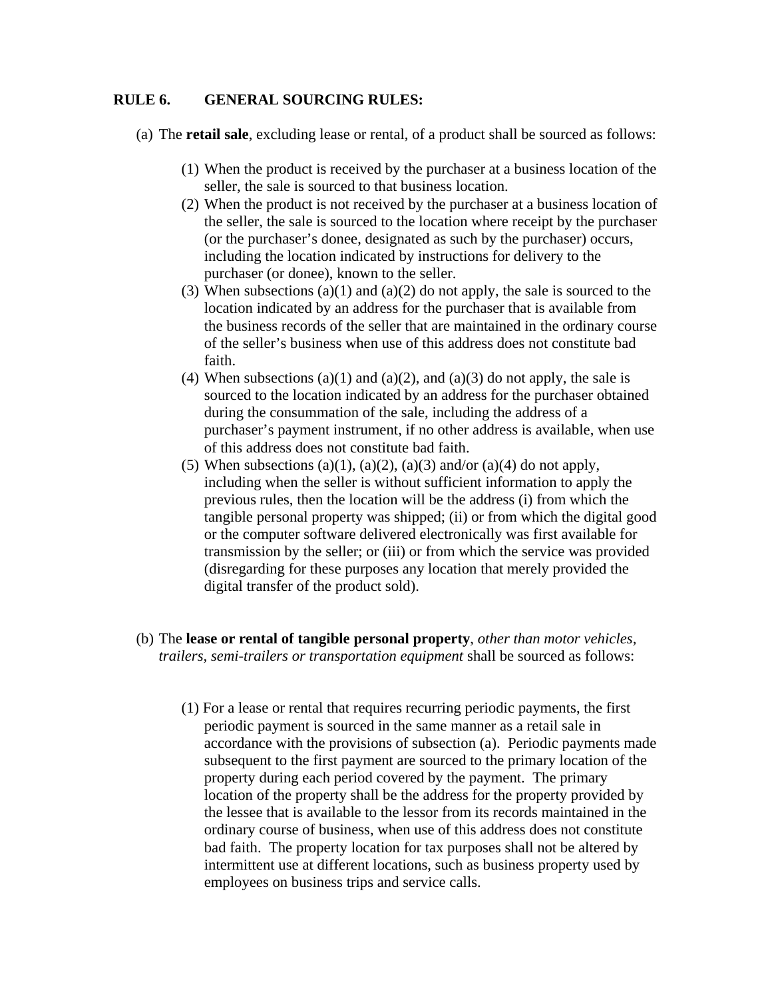#### **RULE 6. GENERAL SOURCING RULES:**

(a) The **retail sale**, excluding lease or rental, of a product shall be sourced as follows:

- (1) When the product is received by the purchaser at a business location of the seller, the sale is sourced to that business location.
- (2) When the product is not received by the purchaser at a business location of the seller, the sale is sourced to the location where receipt by the purchaser (or the purchaser's donee, designated as such by the purchaser) occurs, including the location indicated by instructions for delivery to the purchaser (or donee), known to the seller.
- (3) When subsections (a)(1) and (a)(2) do not apply, the sale is sourced to the location indicated by an address for the purchaser that is available from the business records of the seller that are maintained in the ordinary course of the seller's business when use of this address does not constitute bad faith.
- (4) When subsections (a)(1) and (a)(2), and (a)(3) do not apply, the sale is sourced to the location indicated by an address for the purchaser obtained during the consummation of the sale, including the address of a purchaser's payment instrument, if no other address is available, when use of this address does not constitute bad faith.
- (5) When subsections (a)(1), (a)(2), (a)(3) and/or (a)(4) do not apply, including when the seller is without sufficient information to apply the previous rules, then the location will be the address (i) from which the tangible personal property was shipped; (ii) or from which the digital good or the computer software delivered electronically was first available for transmission by the seller; or (iii) or from which the service was provided (disregarding for these purposes any location that merely provided the digital transfer of the product sold).
- (b) The **lease or rental of tangible personal property**, *other than motor vehicles, trailers, semi-trailers or transportation equipment* shall be sourced as follows:
	- (1) For a lease or rental that requires recurring periodic payments, the first periodic payment is sourced in the same manner as a retail sale in accordance with the provisions of subsection (a). Periodic payments made subsequent to the first payment are sourced to the primary location of the property during each period covered by the payment. The primary location of the property shall be the address for the property provided by the lessee that is available to the lessor from its records maintained in the ordinary course of business, when use of this address does not constitute bad faith. The property location for tax purposes shall not be altered by intermittent use at different locations, such as business property used by employees on business trips and service calls.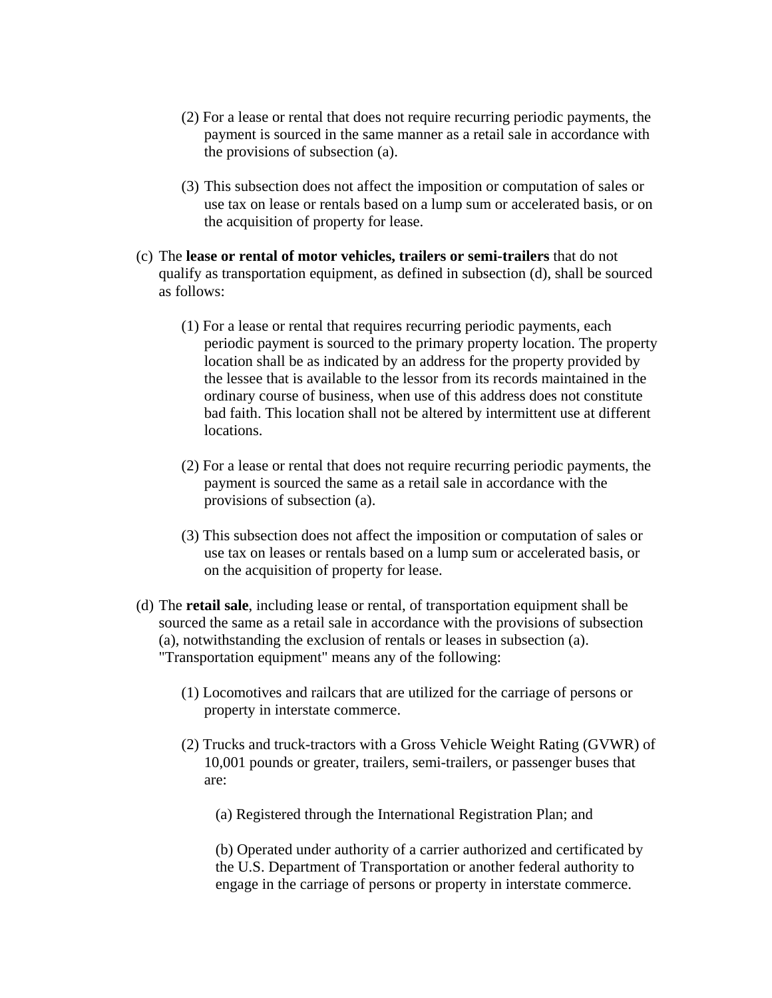- (2) For a lease or rental that does not require recurring periodic payments, the payment is sourced in the same manner as a retail sale in accordance with the provisions of subsection (a).
- (3) This subsection does not affect the imposition or computation of sales or use tax on lease or rentals based on a lump sum or accelerated basis, or on the acquisition of property for lease.
- (c) The **lease or rental of motor vehicles, trailers or semi-trailers** that do not qualify as transportation equipment, as defined in subsection (d), shall be sourced as follows:
	- (1) For a lease or rental that requires recurring periodic payments, each periodic payment is sourced to the primary property location. The property location shall be as indicated by an address for the property provided by the lessee that is available to the lessor from its records maintained in the ordinary course of business, when use of this address does not constitute bad faith. This location shall not be altered by intermittent use at different locations.
	- (2) For a lease or rental that does not require recurring periodic payments, the payment is sourced the same as a retail sale in accordance with the provisions of subsection (a).
	- (3) This subsection does not affect the imposition or computation of sales or use tax on leases or rentals based on a lump sum or accelerated basis, or on the acquisition of property for lease.
- (d) The **retail sale**, including lease or rental, of transportation equipment shall be sourced the same as a retail sale in accordance with the provisions of subsection (a), notwithstanding the exclusion of rentals or leases in subsection (a). "Transportation equipment" means any of the following:
	- (1) Locomotives and railcars that are utilized for the carriage of persons or property in interstate commerce.
	- (2) Trucks and truck-tractors with a Gross Vehicle Weight Rating (GVWR) of 10,001 pounds or greater, trailers, semi-trailers, or passenger buses that are:
		- (a) Registered through the International Registration Plan; and

(b) Operated under authority of a carrier authorized and certificated by the U.S. Department of Transportation or another federal authority to engage in the carriage of persons or property in interstate commerce.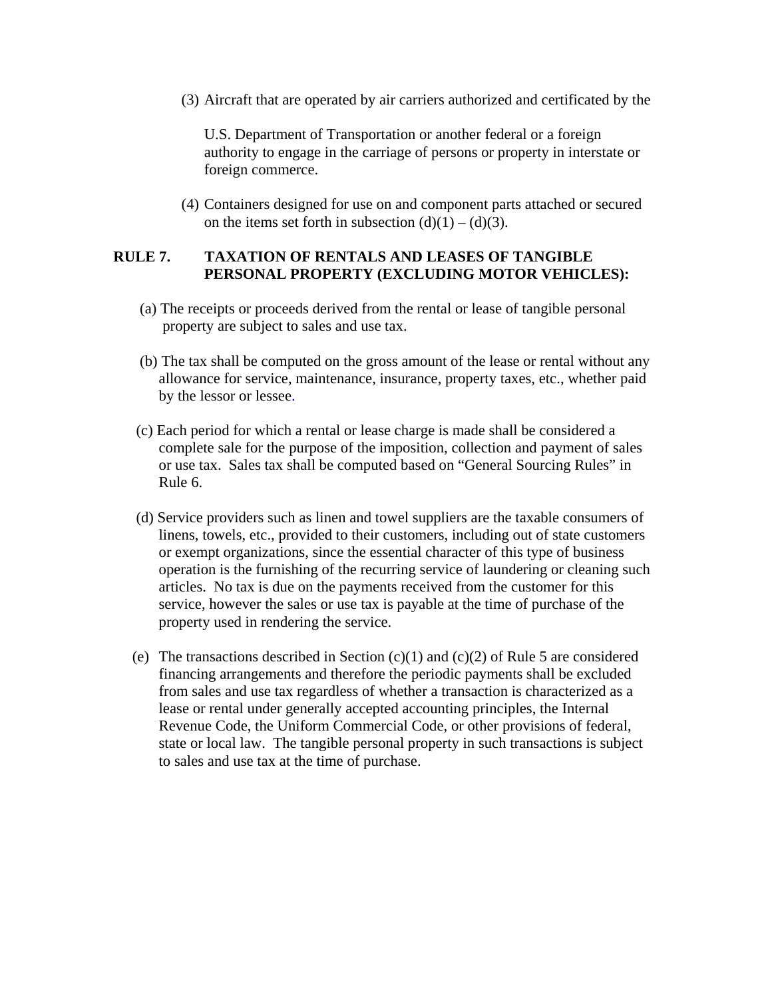(3) Aircraft that are operated by air carriers authorized and certificated by the

U.S. Department of Transportation or another federal or a foreign authority to engage in the carriage of persons or property in interstate or foreign commerce.

(4) Containers designed for use on and component parts attached or secured on the items set forth in subsection  $(d)(1) - (d)(3)$ .

#### **RULE 7. TAXATION OF RENTALS AND LEASES OF TANGIBLE PERSONAL PROPERTY (EXCLUDING MOTOR VEHICLES):**

- (a) The receipts or proceeds derived from the rental or lease of tangible personal property are subject to sales and use tax.
- (b) The tax shall be computed on the gross amount of the lease or rental without any allowance for service, maintenance, insurance, property taxes, etc., whether paid by the lessor or lessee.
- (c) Each period for which a rental or lease charge is made shall be considered a complete sale for the purpose of the imposition, collection and payment of sales or use tax. Sales tax shall be computed based on "General Sourcing Rules" in Rule 6.
- (d) Service providers such as linen and towel suppliers are the taxable consumers of linens, towels, etc., provided to their customers, including out of state customers or exempt organizations, since the essential character of this type of business operation is the furnishing of the recurring service of laundering or cleaning such articles. No tax is due on the payments received from the customer for this service, however the sales or use tax is payable at the time of purchase of the property used in rendering the service.
- (e) The transactions described in Section  $(c)(1)$  and  $(c)(2)$  of Rule 5 are considered financing arrangements and therefore the periodic payments shall be excluded from sales and use tax regardless of whether a transaction is characterized as a lease or rental under generally accepted accounting principles, the Internal Revenue Code, the Uniform Commercial Code, or other provisions of federal, state or local law. The tangible personal property in such transactions is subject to sales and use tax at the time of purchase.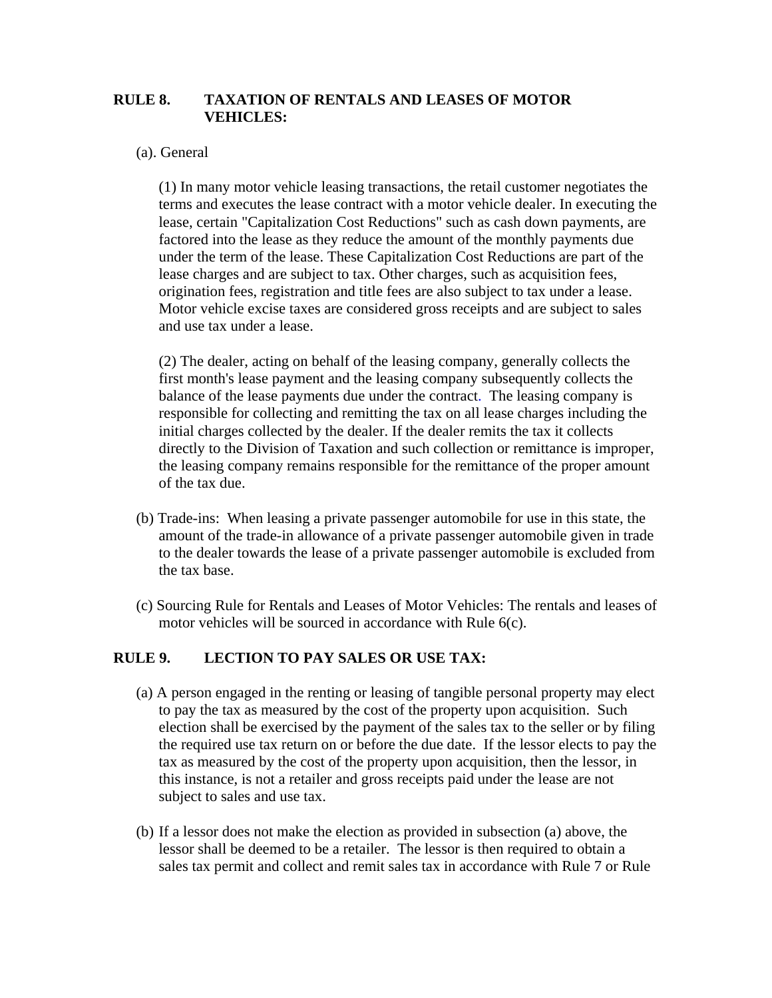#### **RULE 8. TAXATION OF RENTALS AND LEASES OF MOTOR VEHICLES:**

#### (a). General

(1) In many motor vehicle leasing transactions, the retail customer negotiates the terms and executes the lease contract with a motor vehicle dealer. In executing the lease, certain "Capitalization Cost Reductions" such as cash down payments, are factored into the lease as they reduce the amount of the monthly payments due under the term of the lease. These Capitalization Cost Reductions are part of the lease charges and are subject to tax. Other charges, such as acquisition fees, origination fees, registration and title fees are also subject to tax under a lease. Motor vehicle excise taxes are considered gross receipts and are subject to sales and use tax under a lease.

(2) The dealer, acting on behalf of the leasing company, generally collects the first month's lease payment and the leasing company subsequently collects the balance of the lease payments due under the contract. The leasing company is responsible for collecting and remitting the tax on all lease charges including the initial charges collected by the dealer. If the dealer remits the tax it collects directly to the Division of Taxation and such collection or remittance is improper, the leasing company remains responsible for the remittance of the proper amount of the tax due.

- (b) Trade-ins: When leasing a private passenger automobile for use in this state, the amount of the trade-in allowance of a private passenger automobile given in trade to the dealer towards the lease of a private passenger automobile is excluded from the tax base.
- (c) Sourcing Rule for Rentals and Leases of Motor Vehicles: The rentals and leases of motor vehicles will be sourced in accordance with Rule 6(c).

#### **RULE 9. LECTION TO PAY SALES OR USE TAX:**

- (a) A person engaged in the renting or leasing of tangible personal property may elect to pay the tax as measured by the cost of the property upon acquisition. Such election shall be exercised by the payment of the sales tax to the seller or by filing the required use tax return on or before the due date. If the lessor elects to pay the tax as measured by the cost of the property upon acquisition, then the lessor, in this instance, is not a retailer and gross receipts paid under the lease are not subject to sales and use tax.
- (b) If a lessor does not make the election as provided in subsection (a) above, the lessor shall be deemed to be a retailer. The lessor is then required to obtain a sales tax permit and collect and remit sales tax in accordance with Rule 7 or Rule